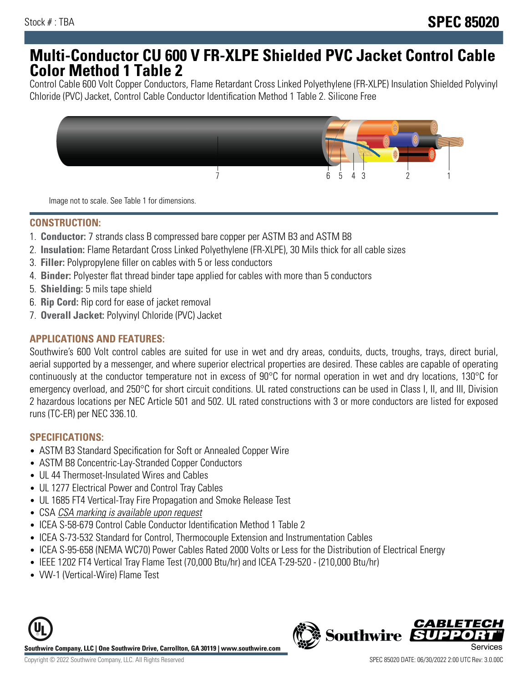# **Multi-Conductor CU 600 V FR-XLPE Shielded PVC Jacket Control Cable Color Method 1 Table 2**

Control Cable 600 Volt Copper Conductors, Flame Retardant Cross Linked Polyethylene (FR-XLPE) Insulation Shielded Polyvinyl Chloride (PVC) Jacket, Control Cable Conductor Identification Method 1 Table 2. Silicone Free



Image not to scale. See Table 1 for dimensions.

## **CONSTRUCTION:**

- 1. **Conductor:** 7 strands class B compressed bare copper per ASTM B3 and ASTM B8
- 2. **Insulation:** Flame Retardant Cross Linked Polyethylene (FR-XLPE), 30 Mils thick for all cable sizes
- 3. **Filler:** Polypropylene filler on cables with 5 or less conductors
- 4. **Binder:** Polyester flat thread binder tape applied for cables with more than 5 conductors
- 5. **Shielding:** 5 mils tape shield
- 6. **Rip Cord:** Rip cord for ease of jacket removal
- 7. **Overall Jacket:** Polyvinyl Chloride (PVC) Jacket

#### **APPLICATIONS AND FEATURES:**

Southwire's 600 Volt control cables are suited for use in wet and dry areas, conduits, ducts, troughs, trays, direct burial, aerial supported by a messenger, and where superior electrical properties are desired. These cables are capable of operating continuously at the conductor temperature not in excess of 90°C for normal operation in wet and dry locations, 130°C for emergency overload, and 250°C for short circuit conditions. UL rated constructions can be used in Class I, II, and III, Division 2 hazardous locations per NEC Article 501 and 502. UL rated constructions with 3 or more conductors are listed for exposed runs (TC-ER) per NEC 336.10.

## **SPECIFICATIONS:**

- ASTM B3 Standard Specification for Soft or Annealed Copper Wire
- ASTM B8 Concentric-Lay-Stranded Copper Conductors
- UL 44 Thermoset-Insulated Wires and Cables
- UL 1277 Electrical Power and Control Tray Cables
- UL 1685 FT4 Vertical-Tray Fire Propagation and Smoke Release Test
- CSA CSA marking is available upon request
- ICEA S-58-679 Control Cable Conductor Identification Method 1 Table 2
- ICEA S-73-532 Standard for Control, Thermocouple Extension and Instrumentation Cables
- ICEA S-95-658 (NEMA WC70) Power Cables Rated 2000 Volts or Less for the Distribution of Electrical Energy
- IEEE 1202 FT4 Vertical Tray Flame Test (70,000 Btu/hr) and ICEA T-29-520 (210,000 Btu/hr)
- VW-1 (Vertical-Wire) Flame Test



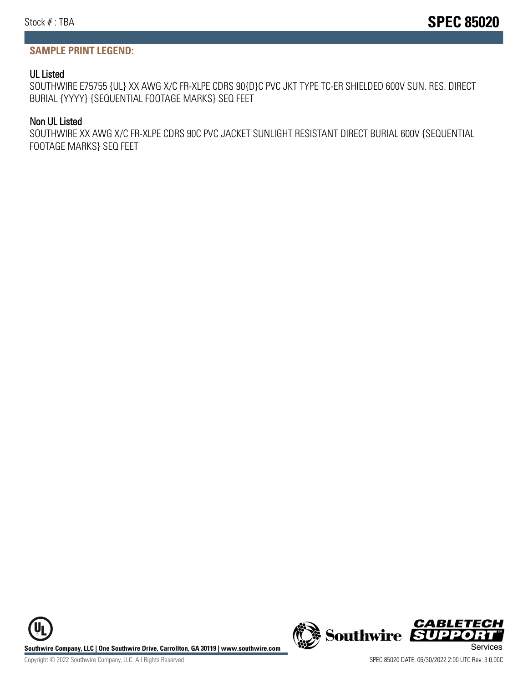#### **SAMPLE PRINT LEGEND:**

#### UL Listed

SOUTHWIRE E75755 {UL} XX AWG X/C FR-XLPE CDRS 90{D}C PVC JKT TYPE TC-ER SHIELDED 600V SUN. RES. DIRECT BURIAL {YYYY} {SEQUENTIAL FOOTAGE MARKS} SEQ FEET

#### Non UL Listed

SOUTHWIRE XX AWG X/C FR-XLPE CDRS 90C PVC JACKET SUNLIGHT RESISTANT DIRECT BURIAL 600V {SEQUENTIAL FOOTAGE MARKS} SEQ FEET